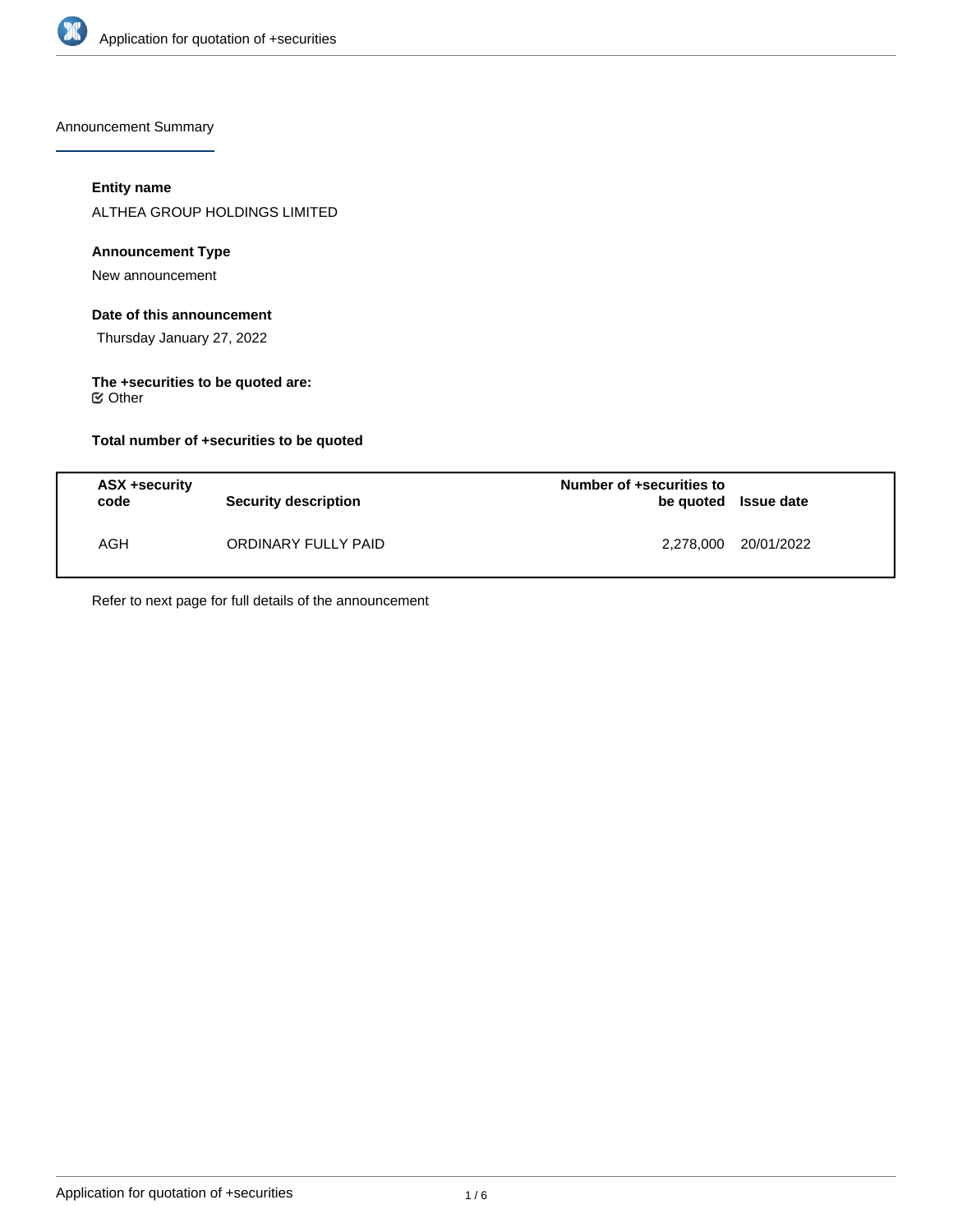

Announcement Summary

# **Entity name**

ALTHEA GROUP HOLDINGS LIMITED

# **Announcement Type**

New announcement

# **Date of this announcement**

Thursday January 27, 2022

#### **The +securities to be quoted are:**  $⊜$  Other

# **Total number of +securities to be quoted**

| ASX +security<br>code | <b>Security description</b> | Number of +securities to<br>be quoted Issue date |            |
|-----------------------|-----------------------------|--------------------------------------------------|------------|
| AGH                   | ORDINARY FULLY PAID         | 2,278,000                                        | 20/01/2022 |

Refer to next page for full details of the announcement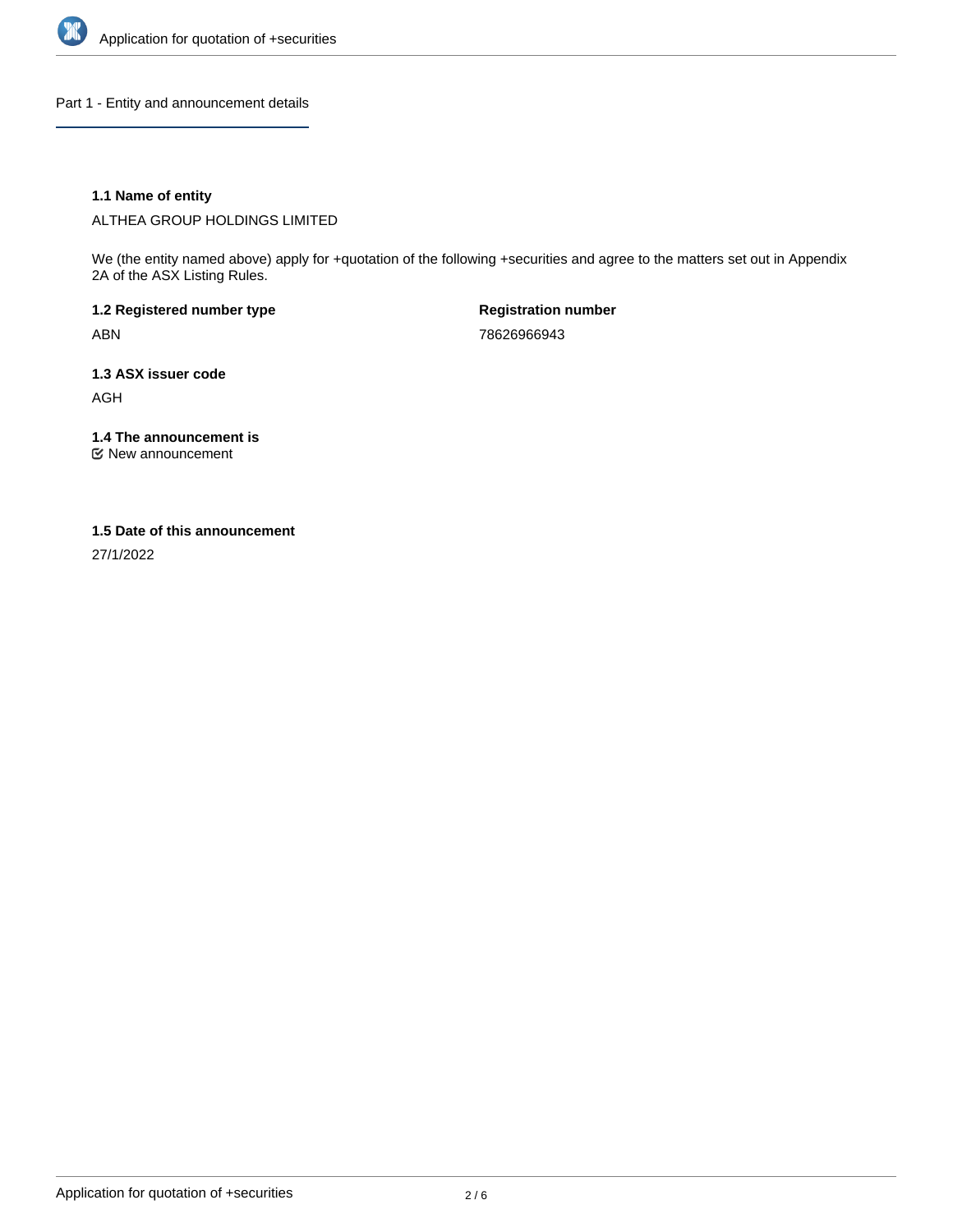

Part 1 - Entity and announcement details

# **1.1 Name of entity**

ALTHEA GROUP HOLDINGS LIMITED

We (the entity named above) apply for +quotation of the following +securities and agree to the matters set out in Appendix 2A of the ASX Listing Rules.

**1.2 Registered number type** ABN

**Registration number** 78626966943

**1.3 ASX issuer code** AGH

**1.4 The announcement is**

New announcement

### **1.5 Date of this announcement**

27/1/2022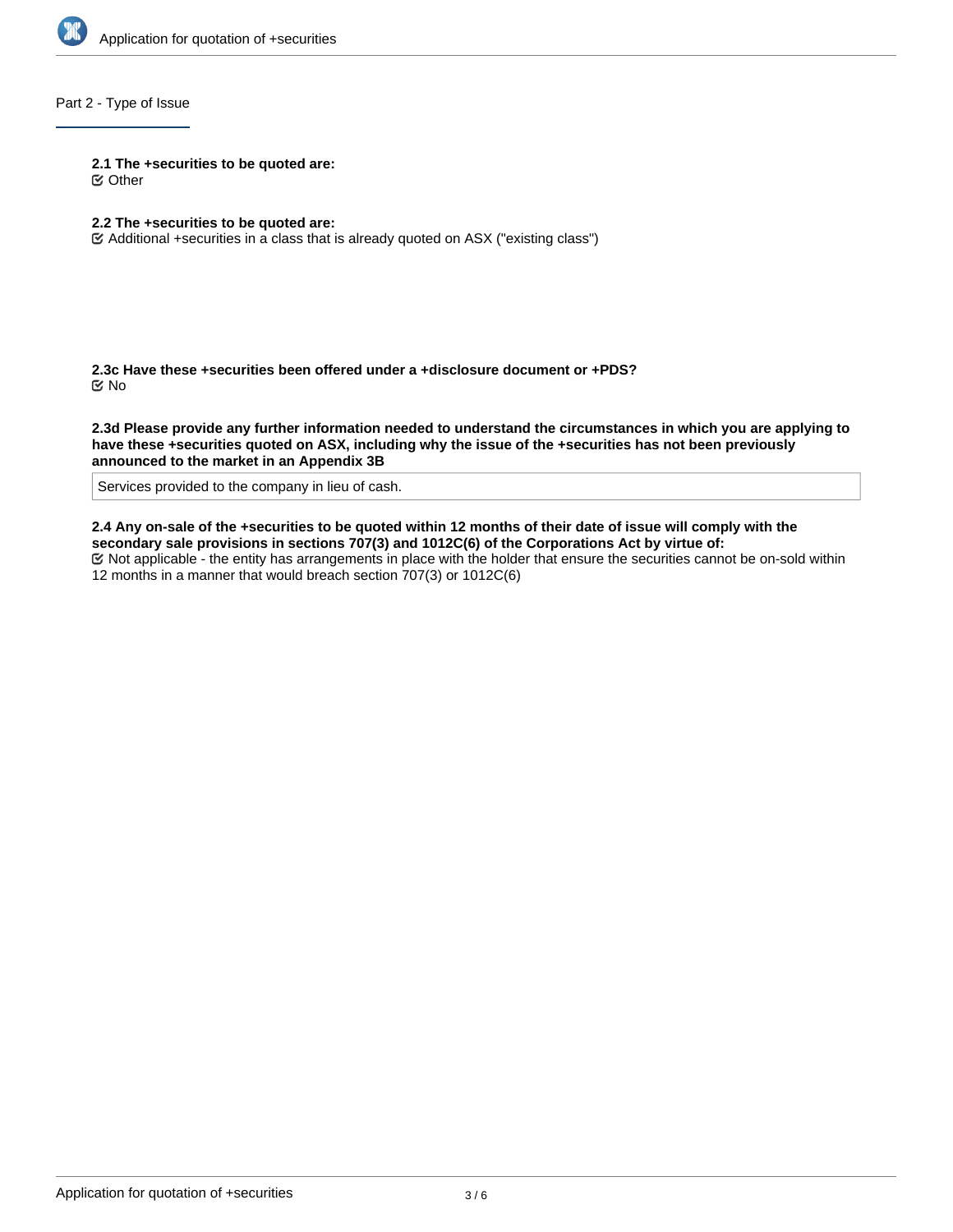

# Part 2 - Type of Issue

**2.1 The +securities to be quoted are:**

Other

# **2.2 The +securities to be quoted are:**

Additional +securities in a class that is already quoted on ASX ("existing class")

**2.3c Have these +securities been offered under a +disclosure document or +PDS?** No

**2.3d Please provide any further information needed to understand the circumstances in which you are applying to have these +securities quoted on ASX, including why the issue of the +securities has not been previously announced to the market in an Appendix 3B**

Services provided to the company in lieu of cash.

**2.4 Any on-sale of the +securities to be quoted within 12 months of their date of issue will comply with the secondary sale provisions in sections 707(3) and 1012C(6) of the Corporations Act by virtue of:**

Not applicable - the entity has arrangements in place with the holder that ensure the securities cannot be on-sold within 12 months in a manner that would breach section 707(3) or 1012C(6)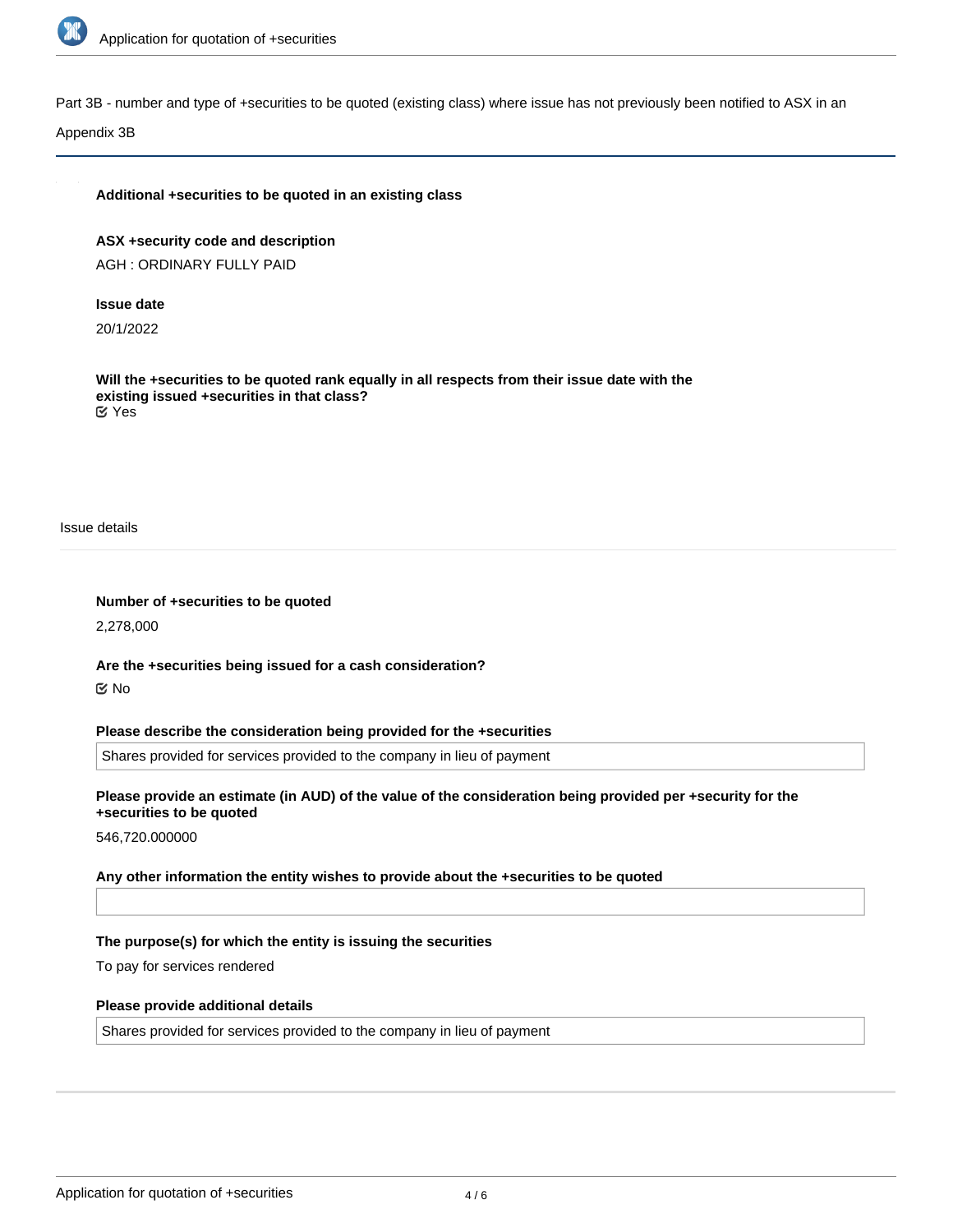

Part 3B - number and type of +securities to be quoted (existing class) where issue has not previously been notified to ASX in an

Appendix 3B

### **Additional +securities to be quoted in an existing class**

**ASX +security code and description** AGH : ORDINARY FULLY PAID

### **Issue date**

20/1/2022

**Will the +securities to be quoted rank equally in all respects from their issue date with the existing issued +securities in that class?** Yes

Issue details

**Number of +securities to be quoted**

2,278,000

**Are the +securities being issued for a cash consideration?** No

**Please describe the consideration being provided for the +securities**

Shares provided for services provided to the company in lieu of payment

**Please provide an estimate (in AUD) of the value of the consideration being provided per +security for the +securities to be quoted**

546,720.000000

**Any other information the entity wishes to provide about the +securities to be quoted**

### **The purpose(s) for which the entity is issuing the securities**

To pay for services rendered

### **Please provide additional details**

Shares provided for services provided to the company in lieu of payment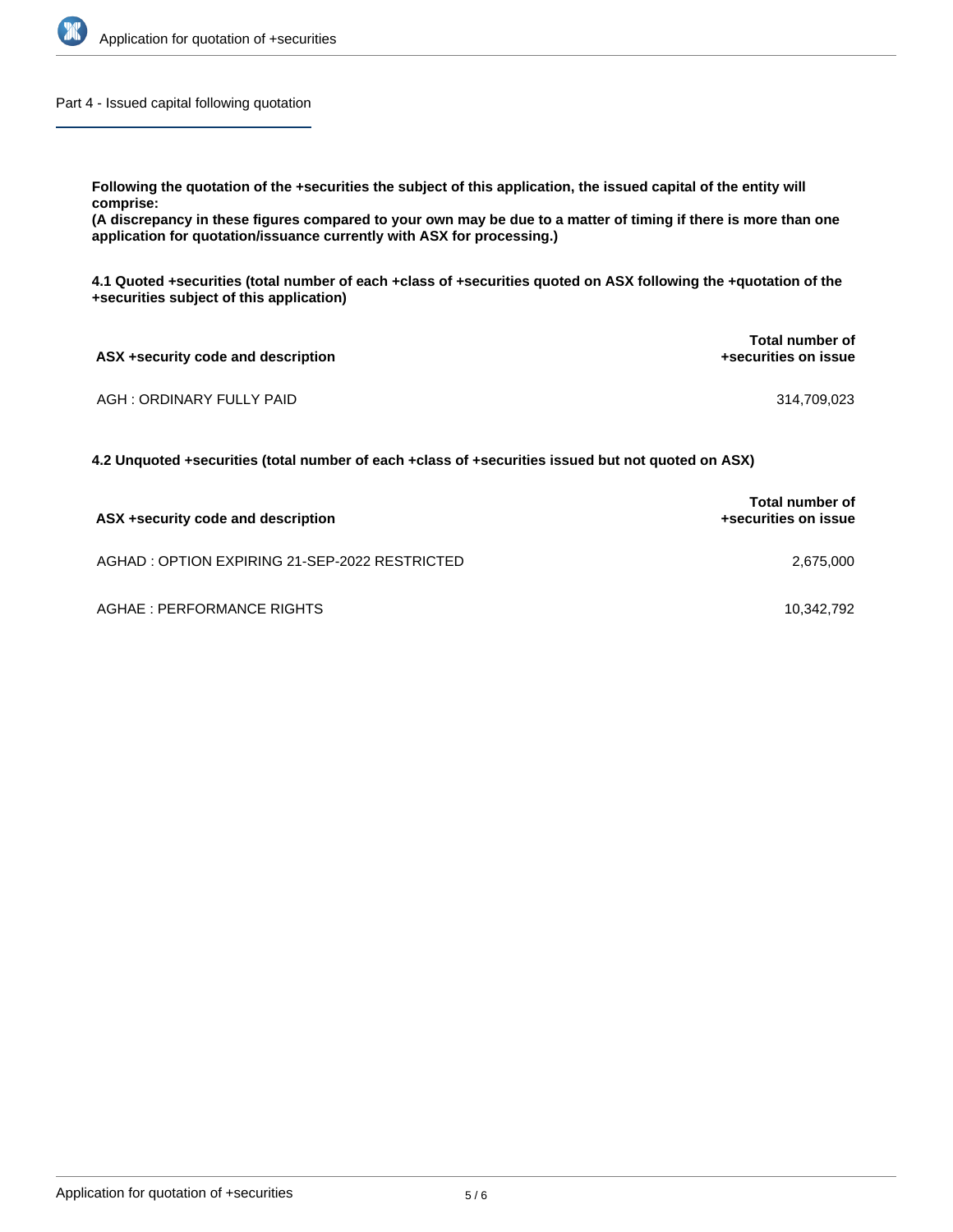

Part 4 - Issued capital following quotation

**Following the quotation of the +securities the subject of this application, the issued capital of the entity will**

**comprise:**

**(A discrepancy in these figures compared to your own may be due to a matter of timing if there is more than one application for quotation/issuance currently with ASX for processing.)**

**4.1 Quoted +securities (total number of each +class of +securities quoted on ASX following the +quotation of the +securities subject of this application)**

| ASX +security code and description | Total number of<br>+securities on issue |
|------------------------------------|-----------------------------------------|
| AGH : ORDINARY FULLY PAID          | 314,709,023                             |

**4.2 Unquoted +securities (total number of each +class of +securities issued but not quoted on ASX)**

| ASX +security code and description            | <b>Total number of</b><br>+securities on issue |
|-----------------------------------------------|------------------------------------------------|
| AGHAD: OPTION EXPIRING 21-SEP-2022 RESTRICTED | 2.675.000                                      |
| AGHAE : PERFORMANCE RIGHTS                    | 10.342.792                                     |